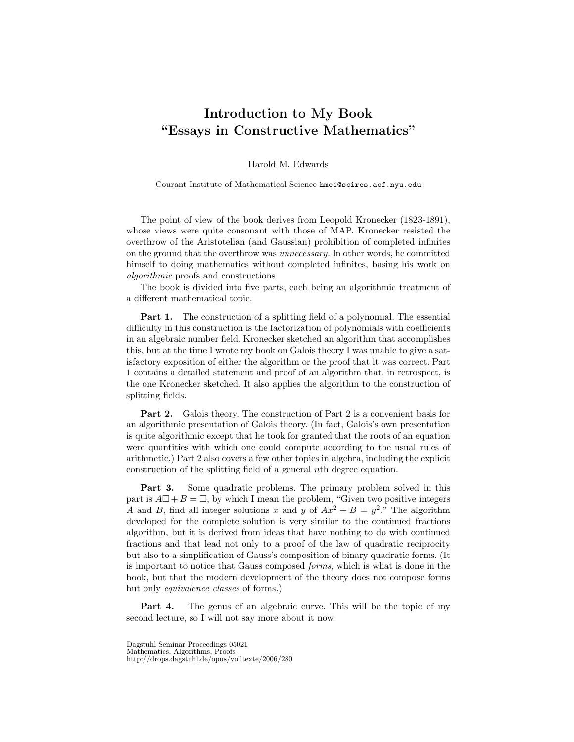## Introduction to My Book "Essays in Constructive Mathematics"

Harold M. Edwards

Courant Institute of Mathematical Science hme1@scires.acf.nyu.edu

The point of view of the book derives from Leopold Kronecker (1823-1891), whose views were quite consonant with those of MAP. Kronecker resisted the overthrow of the Aristotelian (and Gaussian) prohibition of completed infinites on the ground that the overthrow was unnecessary. In other words, he committed himself to doing mathematics without completed infinites, basing his work on algorithmic proofs and constructions.

The book is divided into five parts, each being an algorithmic treatment of a different mathematical topic.

Part 1. The construction of a splitting field of a polynomial. The essential difficulty in this construction is the factorization of polynomials with coefficients in an algebraic number field. Kronecker sketched an algorithm that accomplishes this, but at the time I wrote my book on Galois theory I was unable to give a satisfactory exposition of either the algorithm or the proof that it was correct. Part 1 contains a detailed statement and proof of an algorithm that, in retrospect, is the one Kronecker sketched. It also applies the algorithm to the construction of splitting fields.

Part 2. Galois theory. The construction of Part 2 is a convenient basis for an algorithmic presentation of Galois theory. (In fact, Galois's own presentation is quite algorithmic except that he took for granted that the roots of an equation were quantities with which one could compute according to the usual rules of arithmetic.) Part 2 also covers a few other topics in algebra, including the explicit construction of the splitting field of a general nth degree equation.

Part 3. Some quadratic problems. The primary problem solved in this part is  $A\Box + B = \Box$ , by which I mean the problem, "Given two positive integers A and B, find all integer solutions x and y of  $Ax^2 + B = y^2$ ." The algorithm developed for the complete solution is very similar to the continued fractions algorithm, but it is derived from ideas that have nothing to do with continued fractions and that lead not only to a proof of the law of quadratic reciprocity but also to a simplification of Gauss's composition of binary quadratic forms. (It is important to notice that Gauss composed forms, which is what is done in the book, but that the modern development of the theory does not compose forms but only equivalence classes of forms.)

Part 4. The genus of an algebraic curve. This will be the topic of my second lecture, so I will not say more about it now.

Dagstuhl Seminar Proceedings 05021 Mathematics, Algorithms, Proofs http://drops.dagstuhl.de/opus/volltexte/2006/280